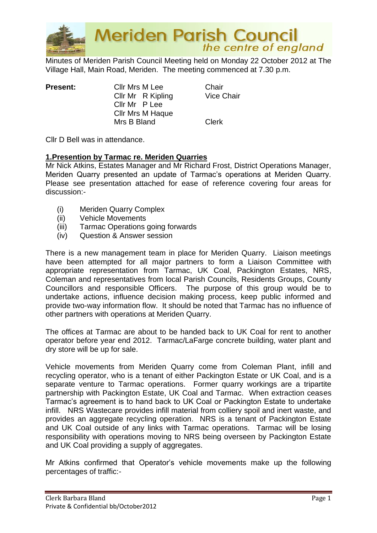

Minutes of Meriden Parish Council Meeting held on Monday 22 October 2012 at The Village Hall, Main Road, Meriden. The meeting commenced at 7.30 p.m.

| <b>Present:</b> | Cllr Mrs M Lee          | Chair        |
|-----------------|-------------------------|--------------|
|                 | Cllr Mr R Kipling       | Vice (       |
|                 | Cllr Mr P Lee           |              |
|                 | <b>CIIr Mrs M Haque</b> |              |
|                 | Mrs B Bland             | <b>Clerk</b> |

ipling Vice Chair

Cllr D Bell was in attendance.

## **1.Presention by Tarmac re. Meriden Quarries**

Mr Nick Atkins, Estates Manager and Mr Richard Frost, District Operations Manager, Meriden Quarry presented an update of Tarmac's operations at Meriden Quarry. Please see presentation attached for ease of reference covering four areas for discussion:-

- (i) Meriden Quarry Complex
- (ii) Vehicle Movements
- (iii) Tarmac Operations going forwards
- (iv) Question & Answer session

There is a new management team in place for Meriden Quarry. Liaison meetings have been attempted for all major partners to form a Liaison Committee with appropriate representation from Tarmac, UK Coal, Packington Estates, NRS, Coleman and representatives from local Parish Councils, Residents Groups, County Councillors and responsible Officers. The purpose of this group would be to undertake actions, influence decision making process, keep public informed and provide two-way information flow. It should be noted that Tarmac has no influence of other partners with operations at Meriden Quarry.

The offices at Tarmac are about to be handed back to UK Coal for rent to another operator before year end 2012. Tarmac/LaFarge concrete building, water plant and dry store will be up for sale.

Vehicle movements from Meriden Quarry come from Coleman Plant, infill and recycling operator, who is a tenant of either Packington Estate or UK Coal, and is a separate venture to Tarmac operations. Former quarry workings are a tripartite partnership with Packington Estate, UK Coal and Tarmac. When extraction ceases Tarmac's agreement is to hand back to UK Coal or Packington Estate to undertake infill. NRS Wastecare provides infill material from colliery spoil and inert waste, and provides an aggregate recycling operation. NRS is a tenant of Packington Estate and UK Coal outside of any links with Tarmac operations. Tarmac will be losing responsibility with operations moving to NRS being overseen by Packington Estate and UK Coal providing a supply of aggregates.

Mr Atkins confirmed that Operator's vehicle movements make up the following percentages of traffic:-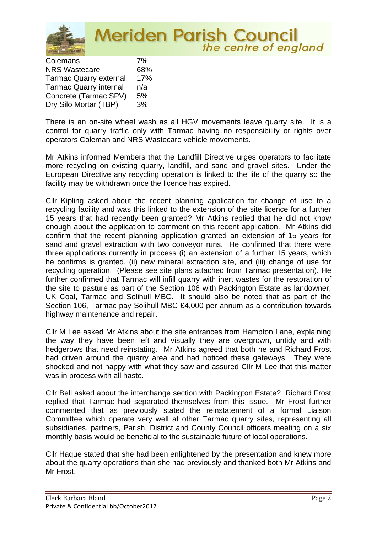

| Colemans                      | 7%  |
|-------------------------------|-----|
| <b>NRS Wastecare</b>          | 68% |
| <b>Tarmac Quarry external</b> | 17% |
| <b>Tarmac Quarry internal</b> | n/a |
| Concrete (Tarmac SPV)         | 5%  |
| Dry Silo Mortar (TBP)         | 3%  |

There is an on-site wheel wash as all HGV movements leave quarry site. It is a control for quarry traffic only with Tarmac having no responsibility or rights over operators Coleman and NRS Wastecare vehicle movements.

Mr Atkins informed Members that the Landfill Directive urges operators to facilitate more recycling on existing quarry, landfill, and sand and gravel sites. Under the European Directive any recycling operation is linked to the life of the quarry so the facility may be withdrawn once the licence has expired.

Cllr Kipling asked about the recent planning application for change of use to a recycling facility and was this linked to the extension of the site licence for a further 15 years that had recently been granted? Mr Atkins replied that he did not know enough about the application to comment on this recent application. Mr Atkins did confirm that the recent planning application granted an extension of 15 years for sand and gravel extraction with two conveyor runs. He confirmed that there were three applications currently in process (i) an extension of a further 15 years, which he confirms is granted, (ii) new mineral extraction site, and (iii) change of use for recycling operation. (Please see site plans attached from Tarmac presentation). He further confirmed that Tarmac will infill quarry with inert wastes for the restoration of the site to pasture as part of the Section 106 with Packington Estate as landowner, UK Coal, Tarmac and Solihull MBC. It should also be noted that as part of the Section 106, Tarmac pay Solihull MBC £4,000 per annum as a contribution towards highway maintenance and repair.

Cllr M Lee asked Mr Atkins about the site entrances from Hampton Lane, explaining the way they have been left and visually they are overgrown, untidy and with hedgerows that need reinstating. Mr Atkins agreed that both he and Richard Frost had driven around the quarry area and had noticed these gateways. They were shocked and not happy with what they saw and assured Cllr M Lee that this matter was in process with all haste.

Cllr Bell asked about the interchange section with Packington Estate? Richard Frost replied that Tarmac had separated themselves from this issue. Mr Frost further commented that as previously stated the reinstatement of a formal Liaison Committee which operate very well at other Tarmac quarry sites, representing all subsidiaries, partners, Parish, District and County Council officers meeting on a six monthly basis would be beneficial to the sustainable future of local operations.

Cllr Haque stated that she had been enlightened by the presentation and knew more about the quarry operations than she had previously and thanked both Mr Atkins and Mr Frost.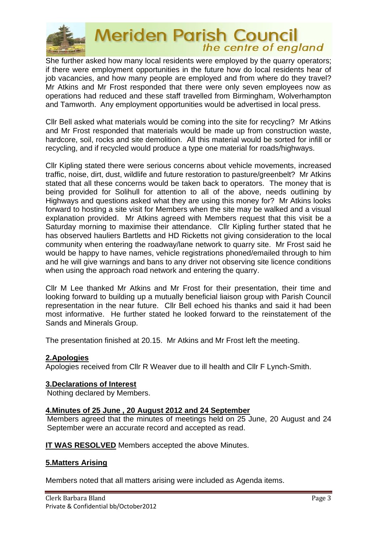

She further asked how many local residents were employed by the quarry operators; if there were employment opportunities in the future how do local residents hear of job vacancies, and how many people are employed and from where do they travel? Mr Atkins and Mr Frost responded that there were only seven employees now as operations had reduced and these staff travelled from Birmingham, Wolverhampton and Tamworth. Any employment opportunities would be advertised in local press.

Cllr Bell asked what materials would be coming into the site for recycling? Mr Atkins and Mr Frost responded that materials would be made up from construction waste, hardcore, soil, rocks and site demolition. All this material would be sorted for infill or recycling, and if recycled would produce a type one material for roads/highways.

Cllr Kipling stated there were serious concerns about vehicle movements, increased traffic, noise, dirt, dust, wildlife and future restoration to pasture/greenbelt? Mr Atkins stated that all these concerns would be taken back to operators. The money that is being provided for Solihull for attention to all of the above, needs outlining by Highways and questions asked what they are using this money for? Mr Atkins looks forward to hosting a site visit for Members when the site may be walked and a visual explanation provided. Mr Atkins agreed with Members request that this visit be a Saturday morning to maximise their attendance. Cllr Kipling further stated that he has observed hauliers Bartletts and HD Ricketts not giving consideration to the local community when entering the roadway/lane network to quarry site. Mr Frost said he would be happy to have names, vehicle registrations phoned/emailed through to him and he will give warnings and bans to any driver not observing site licence conditions when using the approach road network and entering the quarry.

Cllr M Lee thanked Mr Atkins and Mr Frost for their presentation, their time and looking forward to building up a mutually beneficial liaison group with Parish Council representation in the near future. Cllr Bell echoed his thanks and said it had been most informative. He further stated he looked forward to the reinstatement of the Sands and Minerals Group.

The presentation finished at 20.15. Mr Atkins and Mr Frost left the meeting.

## **2.Apologies**

Apologies received from Cllr R Weaver due to ill health and Cllr F Lynch-Smith.

## **3.Declarations of Interest**

Nothing declared by Members.

## **4.Minutes of 25 June , 20 August 2012 and 24 September**

Members agreed that the minutes of meetings held on 25 June, 20 August and 24 September were an accurate record and accepted as read.

**IT WAS RESOLVED** Members accepted the above Minutes.

## **5.Matters Arising**

Members noted that all matters arising were included as Agenda items.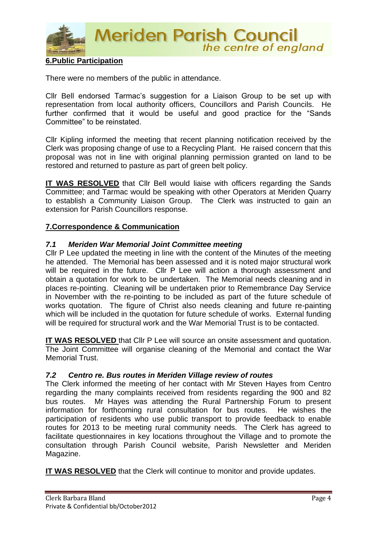

## **6.Public Participation**

There were no members of the public in attendance.

Cllr Bell endorsed Tarmac's suggestion for a Liaison Group to be set up with representation from local authority officers, Councillors and Parish Councils. He further confirmed that it would be useful and good practice for the "Sands Committee" to be reinstated.

Cllr Kipling informed the meeting that recent planning notification received by the Clerk was proposing change of use to a Recycling Plant. He raised concern that this proposal was not in line with original planning permission granted on land to be restored and returned to pasture as part of green belt policy.

**IT WAS RESOLVED** that Cllr Bell would liaise with officers regarding the Sands Committee; and Tarmac would be speaking with other Operators at Meriden Quarry to establish a Community Liaison Group. The Clerk was instructed to gain an extension for Parish Councillors response.

#### **7.Correspondence & Communication**

#### *7.1 Meriden War Memorial Joint Committee meeting*

Cllr P Lee updated the meeting in line with the content of the Minutes of the meeting he attended. The Memorial has been assessed and it is noted major structural work will be required in the future. Cllr P Lee will action a thorough assessment and obtain a quotation for work to be undertaken. The Memorial needs cleaning and in places re-pointing. Cleaning will be undertaken prior to Remembrance Day Service in November with the re-pointing to be included as part of the future schedule of works quotation. The figure of Christ also needs cleaning and future re-painting which will be included in the quotation for future schedule of works. External funding will be required for structural work and the War Memorial Trust is to be contacted.

**IT WAS RESOLVED** that Cllr P Lee will source an onsite assessment and quotation. The Joint Committee will organise cleaning of the Memorial and contact the War Memorial Trust.

#### *7.2 Centro re. Bus routes in Meriden Village review of routes*

The Clerk informed the meeting of her contact with Mr Steven Hayes from Centro regarding the many complaints received from residents regarding the 900 and 82 bus routes. Mr Hayes was attending the Rural Partnership Forum to present information for forthcoming rural consultation for bus routes. He wishes the participation of residents who use public transport to provide feedback to enable routes for 2013 to be meeting rural community needs. The Clerk has agreed to facilitate questionnaires in key locations throughout the Village and to promote the consultation through Parish Council website, Parish Newsletter and Meriden Magazine.

**IT WAS RESOLVED** that the Clerk will continue to monitor and provide updates.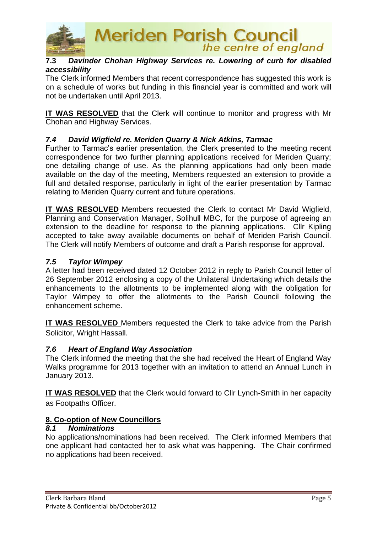

## **7.3** *Davinder Chohan Highway Services re. Lowering of curb for disabled accessibility*

The Clerk informed Members that recent correspondence has suggested this work is on a schedule of works but funding in this financial year is committed and work will not be undertaken until April 2013.

**IT WAS RESOLVED** that the Clerk will continue to monitor and progress with Mr Chohan and Highway Services.

## *7.4 David Wigfield re. Meriden Quarry & Nick Atkins, Tarmac*

Further to Tarmac's earlier presentation, the Clerk presented to the meeting recent correspondence for two further planning applications received for Meriden Quarry; one detailing change of use. As the planning applications had only been made available on the day of the meeting, Members requested an extension to provide a full and detailed response, particularly in light of the earlier presentation by Tarmac relating to Meriden Quarry current and future operations.

**IT WAS RESOLVED** Members requested the Clerk to contact Mr David Wigfield, Planning and Conservation Manager, Solihull MBC, for the purpose of agreeing an extension to the deadline for response to the planning applications. Cllr Kipling accepted to take away available documents on behalf of Meriden Parish Council. The Clerk will notify Members of outcome and draft a Parish response for approval.

## *7.5 Taylor Wimpey*

A letter had been received dated 12 October 2012 in reply to Parish Council letter of 26 September 2012 enclosing a copy of the Unilateral Undertaking which details the enhancements to the allotments to be implemented along with the obligation for Taylor Wimpey to offer the allotments to the Parish Council following the enhancement scheme.

**IT WAS RESOLVED** Members requested the Clerk to take advice from the Parish Solicitor, Wright Hassall.

#### *7.6 Heart of England Way Association*

The Clerk informed the meeting that the she had received the Heart of England Way Walks programme for 2013 together with an invitation to attend an Annual Lunch in January 2013.

**IT WAS RESOLVED** that the Clerk would forward to Cllr Lynch-Smith in her capacity as Footpaths Officer.

#### **8. Co-option of New Councillors**

#### *8.1 Nominations*

No applications/nominations had been received. The Clerk informed Members that one applicant had contacted her to ask what was happening. The Chair confirmed no applications had been received.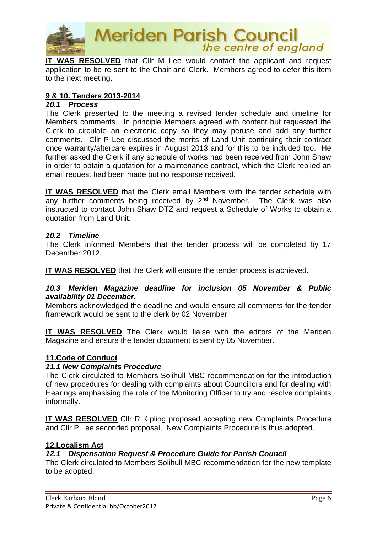

**IT WAS RESOLVED** that Cllr M Lee would contact the applicant and request application to be re-sent to the Chair and Clerk. Members agreed to defer this item to the next meeting.

## **9 & 10. Tenders 2013-2014**

#### *10.1 Process*

The Clerk presented to the meeting a revised tender schedule and timeline for Members comments. In principle Members agreed with content but requested the Clerk to circulate an electronic copy so they may peruse and add any further comments. Cllr P Lee discussed the merits of Land Unit continuing their contract once warranty/aftercare expires in August 2013 and for this to be included too. He further asked the Clerk if any schedule of works had been received from John Shaw in order to obtain a quotation for a maintenance contract, which the Clerk replied an email request had been made but no response received.

**IT WAS RESOLVED** that the Clerk email Members with the tender schedule with any further comments being received by 2<sup>nd</sup> November. The Clerk was also instructed to contact John Shaw DTZ and request a Schedule of Works to obtain a quotation from Land Unit.

#### *10.2 Timeline*

The Clerk informed Members that the tender process will be completed by 17 December 2012.

**IT WAS RESOLVED** that the Clerk will ensure the tender process is achieved.

## *10.3 Meriden Magazine deadline for inclusion 05 November & Public availability 01 December.*

Members acknowledged the deadline and would ensure all comments for the tender framework would be sent to the clerk by 02 November.

**IT WAS RESOLVED** The Clerk would liaise with the editors of the Meriden Magazine and ensure the tender document is sent by 05 November.

## **11.Code of Conduct**

#### *11.1 New Complaints Procedure*

The Clerk circulated to Members Solihull MBC recommendation for the introduction of new procedures for dealing with complaints about Councillors and for dealing with Hearings emphasising the role of the Monitoring Officer to try and resolve complaints informally.

**IT WAS RESOLVED** Cllr R Kipling proposed accepting new Complaints Procedure and Cllr P Lee seconded proposal. New Complaints Procedure is thus adopted.

#### **12.Localism Act**

## *12.1 Dispensation Request & Procedure Guide for Parish Council*

The Clerk circulated to Members Solihull MBC recommendation for the new template to be adopted.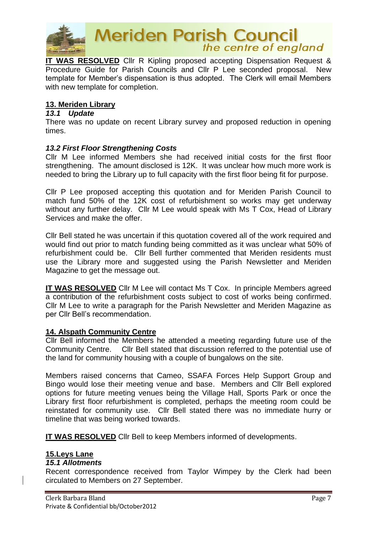

**IT WAS RESOLVED** Cllr R Kipling proposed accepting Dispensation Request & Procedure Guide for Parish Councils and Cllr P Lee seconded proposal. New template for Member's dispensation is thus adopted. The Clerk will email Members with new template for completion.

#### **13. Meriden Library**

#### *13.1 Update*

There was no update on recent Library survey and proposed reduction in opening times.

## *13.2 First Floor Strengthening Costs*

Cllr M Lee informed Members she had received initial costs for the first floor strengthening. The amount disclosed is 12K. It was unclear how much more work is needed to bring the Library up to full capacity with the first floor being fit for purpose.

Cllr P Lee proposed accepting this quotation and for Meriden Parish Council to match fund 50% of the 12K cost of refurbishment so works may get underway without any further delay. Cllr M Lee would speak with Ms T Cox, Head of Library Services and make the offer.

Cllr Bell stated he was uncertain if this quotation covered all of the work required and would find out prior to match funding being committed as it was unclear what 50% of refurbishment could be. Cllr Bell further commented that Meriden residents must use the Library more and suggested using the Parish Newsletter and Meriden Magazine to get the message out.

**IT WAS RESOLVED** Cllr M Lee will contact Ms T Cox. In principle Members agreed a contribution of the refurbishment costs subject to cost of works being confirmed. Cllr M Lee to write a paragraph for the Parish Newsletter and Meriden Magazine as per Cllr Bell's recommendation.

#### **14. Alspath Community Centre**

Cllr Bell informed the Members he attended a meeting regarding future use of the Community Centre. Cllr Bell stated that discussion referred to the potential use of the land for community housing with a couple of bungalows on the site.

Members raised concerns that Cameo, SSAFA Forces Help Support Group and Bingo would lose their meeting venue and base. Members and Cllr Bell explored options for future meeting venues being the Village Hall, Sports Park or once the Library first floor refurbishment is completed, perhaps the meeting room could be reinstated for community use. Cllr Bell stated there was no immediate hurry or timeline that was being worked towards.

**IT WAS RESOLVED** Cllr Bell to keep Members informed of developments.

## **15.Leys Lane**

#### *15.1 Allotments*

Recent correspondence received from Taylor Wimpey by the Clerk had been circulated to Members on 27 September.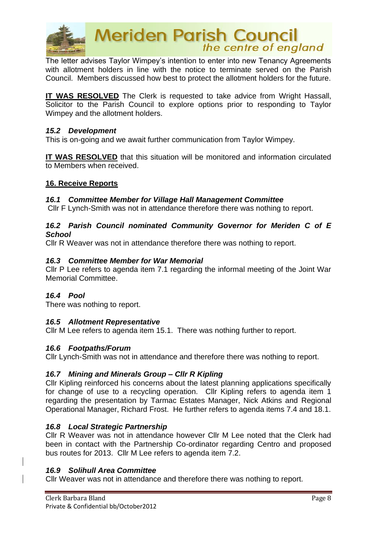

The letter advises Taylor Wimpey's intention to enter into new Tenancy Agreements with allotment holders in line with the notice to terminate served on the Parish Council. Members discussed how best to protect the allotment holders for the future.

**IT WAS RESOLVED** The Clerk is requested to take advice from Wright Hassall, Solicitor to the Parish Council to explore options prior to responding to Taylor Wimpey and the allotment holders.

#### *15.2 Development*

This is on-going and we await further communication from Taylor Wimpey.

**IT WAS RESOLVED** that this situation will be monitored and information circulated to Members when received.

#### **16. Receive Reports**

#### *16.1 Committee Member for Village Hall Management Committee*

Cllr F Lynch-Smith was not in attendance therefore there was nothing to report.

#### *16.2 Parish Council nominated Community Governor for Meriden C of E School*

Cllr R Weaver was not in attendance therefore there was nothing to report.

#### *16.3 Committee Member for War Memorial*

Cllr P Lee refers to agenda item 7.1 regarding the informal meeting of the Joint War Memorial Committee.

#### *16.4 Pool*

There was nothing to report.

#### *16.5 Allotment Representative*

Cllr M Lee refers to agenda item 15.1. There was nothing further to report.

#### *16.6 Footpaths/Forum*

Cllr Lynch-Smith was not in attendance and therefore there was nothing to report.

#### *16.7 Mining and Minerals Group – Cllr R Kipling*

Cllr Kipling reinforced his concerns about the latest planning applications specifically for change of use to a recycling operation. Cllr Kipling refers to agenda item 1 regarding the presentation by Tarmac Estates Manager, Nick Atkins and Regional Operational Manager, Richard Frost. He further refers to agenda items 7.4 and 18.1.

#### *16.8 Local Strategic Partnership*

Cllr R Weaver was not in attendance however Cllr M Lee noted that the Clerk had been in contact with the Partnership Co-ordinator regarding Centro and proposed bus routes for 2013. Cllr M Lee refers to agenda item 7.2.

#### *16.9 Solihull Area Committee*

Cllr Weaver was not in attendance and therefore there was nothing to report.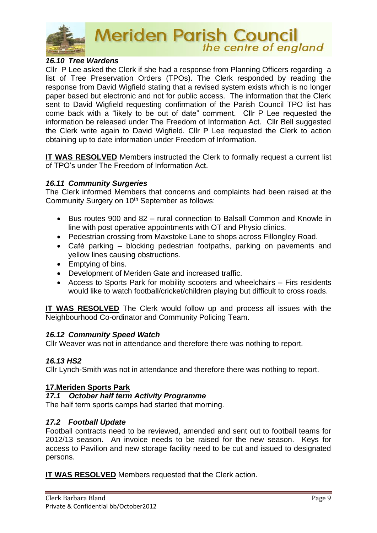

## *16.10 Tree Wardens*

Cllr P Lee asked the Clerk if she had a response from Planning Officers regarding a list of Tree Preservation Orders (TPOs). The Clerk responded by reading the response from David Wigfield stating that a revised system exists which is no longer paper based but electronic and not for public access. The information that the Clerk sent to David Wigfield requesting confirmation of the Parish Council TPO list has come back with a "likely to be out of date" comment. Cllr P Lee requested the information be released under The Freedom of Information Act. Cllr Bell suggested the Clerk write again to David Wigfield. Cllr P Lee requested the Clerk to action obtaining up to date information under Freedom of Information.

**IT WAS RESOLVED** Members instructed the Clerk to formally request a current list of TPO's under The Freedom of Information Act.

#### *16.11 Community Surgeries*

The Clerk informed Members that concerns and complaints had been raised at the Community Surgery on 10<sup>th</sup> September as follows:

- Bus routes 900 and 82 rural connection to Balsall Common and Knowle in line with post operative appointments with OT and Physio clinics.
- Pedestrian crossing from Maxstoke Lane to shops across Fillongley Road.
- Café parking blocking pedestrian footpaths, parking on pavements and yellow lines causing obstructions.
- Emptying of bins.
- Development of Meriden Gate and increased traffic.
- Access to Sports Park for mobility scooters and wheelchairs Firs residents would like to watch football/cricket/children playing but difficult to cross roads.

**IT WAS RESOLVED** The Clerk would follow up and process all issues with the Neighbourhood Co-ordinator and Community Policing Team.

#### *16.12 Community Speed Watch*

Cllr Weaver was not in attendance and therefore there was nothing to report.

#### *16.13 HS2*

Cllr Lynch-Smith was not in attendance and therefore there was nothing to report.

#### **17.Meriden Sports Park**

#### *17.1 October half term Activity Programme*

The half term sports camps had started that morning.

#### *17.2 Football Update*

Football contracts need to be reviewed, amended and sent out to football teams for 2012/13 season. An invoice needs to be raised for the new season. Keys for access to Pavilion and new storage facility need to be cut and issued to designated persons.

**IT WAS RESOLVED** Members requested that the Clerk action.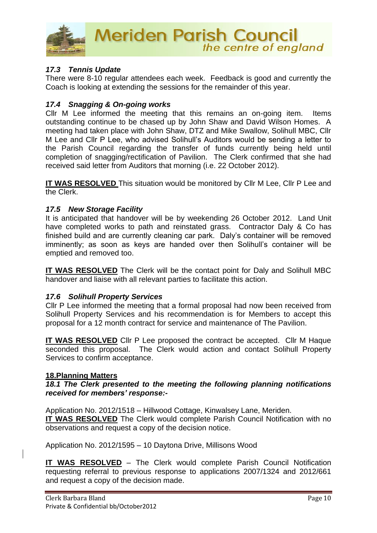

## *17.3 Tennis Update*

There were 8-10 regular attendees each week. Feedback is good and currently the Coach is looking at extending the sessions for the remainder of this year.

## *17.4 Snagging & On-going works*

Cllr M Lee informed the meeting that this remains an on-going item. Items outstanding continue to be chased up by John Shaw and David Wilson Homes. A meeting had taken place with John Shaw, DTZ and Mike Swallow, Solihull MBC, Cllr M Lee and Cllr P Lee, who advised Solihull's Auditors would be sending a letter to the Parish Council regarding the transfer of funds currently being held until completion of snagging/rectification of Pavilion. The Clerk confirmed that she had received said letter from Auditors that morning (i.e. 22 October 2012).

**IT WAS RESOLVED** This situation would be monitored by Cllr M Lee, Cllr P Lee and the Clerk.

## *17.5 New Storage Facility*

It is anticipated that handover will be by weekending 26 October 2012. Land Unit have completed works to path and reinstated grass. Contractor Daly & Co has finished build and are currently cleaning car park. Daly's container will be removed imminently; as soon as keys are handed over then Solihull's container will be emptied and removed too.

**IT WAS RESOLVED** The Clerk will be the contact point for Daly and Solihull MBC handover and liaise with all relevant parties to facilitate this action.

#### *17.6 Solihull Property Services*

Cllr P Lee informed the meeting that a formal proposal had now been received from Solihull Property Services and his recommendation is for Members to accept this proposal for a 12 month contract for service and maintenance of The Pavilion.

**IT WAS RESOLVED** Cllr P Lee proposed the contract be accepted. Cllr M Haque seconded this proposal. The Clerk would action and contact Solihull Property Services to confirm acceptance.

#### **18.Planning Matters**

#### *18.1 The Clerk presented to the meeting the following planning notifications received for members' response:-*

Application No. 2012/1518 – Hillwood Cottage, Kinwalsey Lane, Meriden.

**IT WAS RESOLVED** The Clerk would complete Parish Council Notification with no observations and request a copy of the decision notice.

Application No. 2012/1595 – 10 Daytona Drive, Millisons Wood

**IT WAS RESOLVED** – The Clerk would complete Parish Council Notification requesting referral to previous response to applications 2007/1324 and 2012/661 and request a copy of the decision made.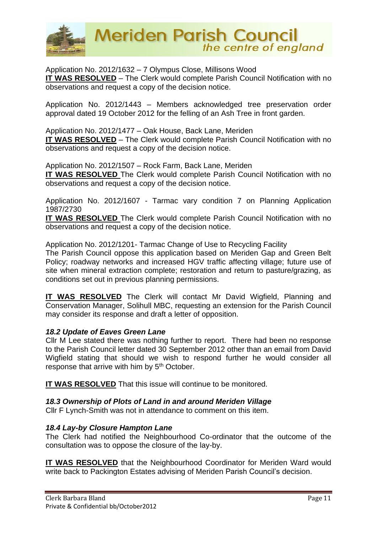

Application No. 2012/1632 – 7 Olympus Close, Millisons Wood **IT WAS RESOLVED** – The Clerk would complete Parish Council Notification with no observations and request a copy of the decision notice.

Application No. 2012/1443 – Members acknowledged tree preservation order approval dated 19 October 2012 for the felling of an Ash Tree in front garden.

Application No. 2012/1477 – Oak House, Back Lane, Meriden **IT WAS RESOLVED** – The Clerk would complete Parish Council Notification with no observations and request a copy of the decision notice.

Application No. 2012/1507 – Rock Farm, Back Lane, Meriden **IT WAS RESOLVED** The Clerk would complete Parish Council Notification with no observations and request a copy of the decision notice.

Application No. 2012/1607 - Tarmac vary condition 7 on Planning Application 1987/2730

**IT WAS RESOLVED** The Clerk would complete Parish Council Notification with no observations and request a copy of the decision notice.

Application No. 2012/1201- Tarmac Change of Use to Recycling Facility The Parish Council oppose this application based on Meriden Gap and Green Belt Policy; roadway networks and increased HGV traffic affecting village; future use of site when mineral extraction complete; restoration and return to pasture/grazing, as conditions set out in previous planning permissions.

**IT WAS RESOLVED** The Clerk will contact Mr David Wigfield, Planning and Conservation Manager, Solihull MBC, requesting an extension for the Parish Council may consider its response and draft a letter of opposition.

## *18.2 Update of Eaves Green Lane*

Cllr M Lee stated there was nothing further to report. There had been no response to the Parish Council letter dated 30 September 2012 other than an email from David Wigfield stating that should we wish to respond further he would consider all response that arrive with him by 5<sup>th</sup> October.

**IT WAS RESOLVED** That this issue will continue to be monitored.

## *18.3 Ownership of Plots of Land in and around Meriden Village*

Cllr F Lynch-Smith was not in attendance to comment on this item.

#### *18.4 Lay-by Closure Hampton Lane*

The Clerk had notified the Neighbourhood Co-ordinator that the outcome of the consultation was to oppose the closure of the lay-by.

**IT WAS RESOLVED** that the Neighbourhood Coordinator for Meriden Ward would write back to Packington Estates advising of Meriden Parish Council's decision.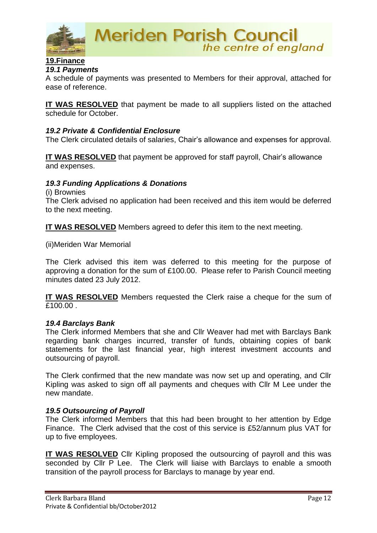

## **19.Finance** *19.1 Payments*

A schedule of payments was presented to Members for their approval, attached for ease of reference.

**IT WAS RESOLVED** that payment be made to all suppliers listed on the attached schedule for October.

#### *19.2 Private & Confidential Enclosure*

The Clerk circulated details of salaries, Chair's allowance and expenses for approval.

**IT WAS RESOLVED** that payment be approved for staff payroll, Chair's allowance and expenses.

#### *19.3 Funding Applications & Donations*

(i) Brownies

The Clerk advised no application had been received and this item would be deferred to the next meeting.

**IT WAS RESOLVED** Members agreed to defer this item to the next meeting.

(ii)Meriden War Memorial

The Clerk advised this item was deferred to this meeting for the purpose of approving a donation for the sum of £100.00. Please refer to Parish Council meeting minutes dated 23 July 2012.

**IT WAS RESOLVED** Members requested the Clerk raise a cheque for the sum of £100.00 .

#### *19.4 Barclays Bank*

The Clerk informed Members that she and Cllr Weaver had met with Barclays Bank regarding bank charges incurred, transfer of funds, obtaining copies of bank statements for the last financial year, high interest investment accounts and outsourcing of payroll.

The Clerk confirmed that the new mandate was now set up and operating, and Cllr Kipling was asked to sign off all payments and cheques with Cllr M Lee under the new mandate.

#### *19.5 Outsourcing of Payroll*

The Clerk informed Members that this had been brought to her attention by Edge Finance. The Clerk advised that the cost of this service is £52/annum plus VAT for up to five employees.

**IT WAS RESOLVED** Cllr Kipling proposed the outsourcing of payroll and this was seconded by Cllr P Lee. The Clerk will liaise with Barclays to enable a smooth transition of the payroll process for Barclays to manage by year end.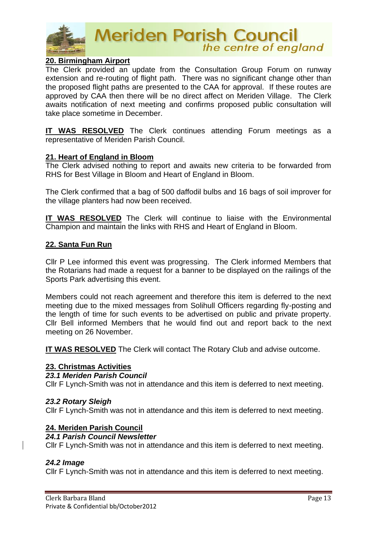

## **20. Birmingham Airport**

The Clerk provided an update from the Consultation Group Forum on runway extension and re-routing of flight path. There was no significant change other than the proposed flight paths are presented to the CAA for approval. If these routes are approved by CAA then there will be no direct affect on Meriden Village. The Clerk awaits notification of next meeting and confirms proposed public consultation will take place sometime in December.

**IT WAS RESOLVED** The Clerk continues attending Forum meetings as a representative of Meriden Parish Council.

#### **21. Heart of England in Bloom**

The Clerk advised nothing to report and awaits new criteria to be forwarded from RHS for Best Village in Bloom and Heart of England in Bloom.

The Clerk confirmed that a bag of 500 daffodil bulbs and 16 bags of soil improver for the village planters had now been received.

**IT WAS RESOLVED** The Clerk will continue to liaise with the Environmental Champion and maintain the links with RHS and Heart of England in Bloom.

#### **22. Santa Fun Run**

Cllr P Lee informed this event was progressing. The Clerk informed Members that the Rotarians had made a request for a banner to be displayed on the railings of the Sports Park advertising this event.

Members could not reach agreement and therefore this item is deferred to the next meeting due to the mixed messages from Solihull Officers regarding fly-posting and the length of time for such events to be advertised on public and private property. Cllr Bell informed Members that he would find out and report back to the next meeting on 26 November.

**IT WAS RESOLVED** The Clerk will contact The Rotary Club and advise outcome.

#### **23. Christmas Activities**

#### *23.1 Meriden Parish Council*

Cllr F Lynch-Smith was not in attendance and this item is deferred to next meeting.

#### *23.2 Rotary Sleigh*

Cllr F Lynch-Smith was not in attendance and this item is deferred to next meeting.

#### **24. Meriden Parish Council**

## *24.1 Parish Council Newsletter*

Cllr F Lynch-Smith was not in attendance and this item is deferred to next meeting.

#### *24.2 Image*

Cllr F Lynch-Smith was not in attendance and this item is deferred to next meeting.